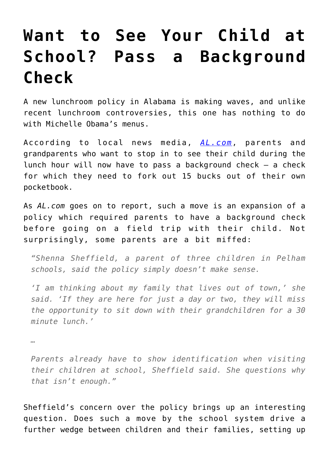## **[Want to See Your Child at](https://intellectualtakeout.org/2016/10/want-to-see-your-child-at-school-pass-a-background-check/) [School? Pass a Background](https://intellectualtakeout.org/2016/10/want-to-see-your-child-at-school-pass-a-background-check/) [Check](https://intellectualtakeout.org/2016/10/want-to-see-your-child-at-school-pass-a-background-check/)**

A new lunchroom policy in Alabama is making waves, and unlike recent lunchroom controversies, this one has nothing to do with Michelle Obama's menus.

According to local news media, *[AL.com](http://www.al.com/news/birmingham/index.ssf/2016/10/1_alabama_school_system_is_req.html)*, parents and grandparents who want to stop in to see their child during the lunch hour will now have to pass a background check – a check for which they need to fork out 15 bucks out of their own pocketbook.

As *AL.com* goes on to report, such a move is an expansion of a policy which required parents to have a background check before going on a field trip with their child. Not surprisingly, some parents are a bit miffed:

*"Shenna Sheffield, a parent of three children in Pelham schools, said the policy simply doesn't make sense.*

*'I am thinking about my family that lives out of town,' she said. 'If they are here for just a day or two, they will miss the opportunity to sit down with their grandchildren for a 30 minute lunch.'*

*…*

*Parents already have to show identification when visiting their children at school, Sheffield said. She questions why that isn't enough."*

Sheffield's concern over the policy brings up an interesting question. Does such a move by the school system drive a further wedge between children and their families, setting up